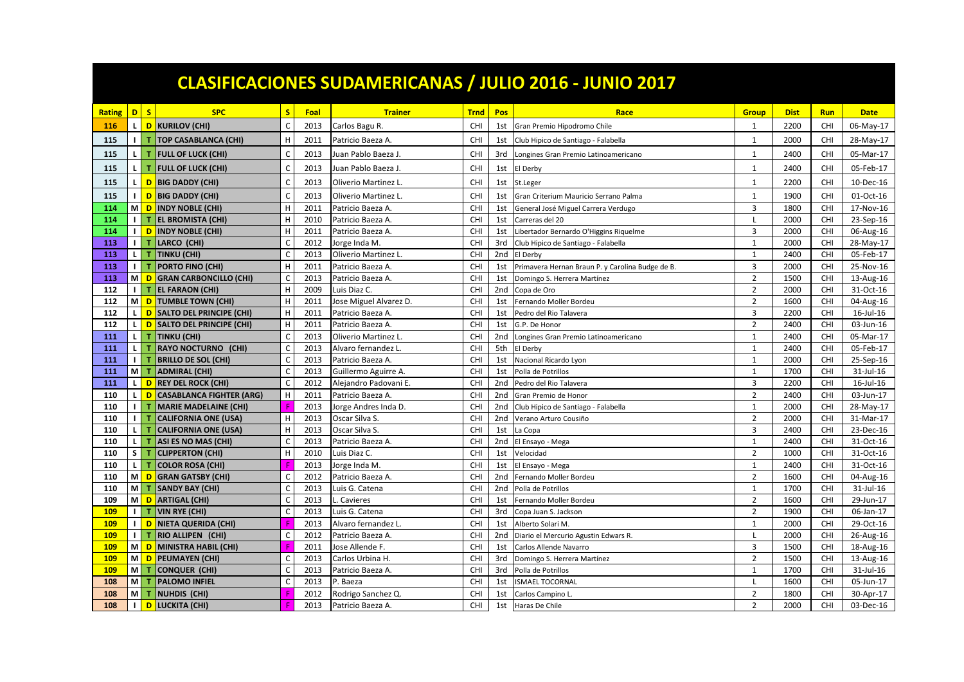| <b>CLASIFICACIONES SUDAMERICANAS / JULIO 2016 - JUNIO 2017</b> |                    |                                             |              |      |                        |             |                 |                                                  |                |             |            |                 |
|----------------------------------------------------------------|--------------------|---------------------------------------------|--------------|------|------------------------|-------------|-----------------|--------------------------------------------------|----------------|-------------|------------|-----------------|
| <b>Rating</b>                                                  |                    | $D$ $S$<br><b>SPC</b>                       | S            | Foal | <b>Trainer</b>         | <b>Trnd</b> | Pos             | Race                                             | <b>Group</b>   | <b>Dist</b> | <b>Run</b> | <b>Date</b>     |
| 116                                                            | $\mathsf{L}$       | D KURILOV (CHI)                             | C            | 2013 | Carlos Bagu R.         | CHI         | 1st             | Gran Premio Hipodromo Chile                      | 1              | 2200        | <b>CHI</b> | 06-May-17       |
| 115                                                            | $\blacksquare$     | <b>TOP CASABLANCA (CHI)</b><br>T.           | H            | 2011 | Patricio Baeza A.      | <b>CHI</b>  | 1st             | Club Hipico de Santiago - Falabella              | 1              | 2000        | CHI        | 28-May-17       |
| 115                                                            | $\mathbf{L}$       | T.<br><b>FULL OF LUCK (CHI)</b>             | $\mathsf{C}$ | 2013 | Juan Pablo Baeza J     | CHI         | 3rd             | Longines Gran Premio Latinoamericano             | $\overline{1}$ | 2400        | CHI        | 05-Mar-17       |
| 115                                                            | $\mathbf{L}$       | T.<br><b>FULL OF LUCK (CHI)</b>             | $\mathsf{C}$ | 2013 | Juan Pablo Baeza J.    | CHI         | 1st             | El Derby                                         | $\mathbf{1}$   | 2400        | CHI        | 05-Feb-17       |
| 115                                                            | L                  | D BIG DADDY (CHI)                           | $\mathsf{C}$ | 2013 | Oliverio Martinez L    | <b>CHI</b>  | 1st             | St.Leger                                         | $\mathbf{1}$   | 2200        | CHI        | 10-Dec-16       |
|                                                                |                    |                                             |              |      |                        |             |                 |                                                  |                |             |            |                 |
| 115                                                            | $\mathbf{I}$<br>мI | <b>D</b> BIG DADDY (CHI)                    | C            | 2013 | Oliverio Martinez L    | <b>CHI</b>  | 1st             | Gran Criterium Mauricio Serrano Palma            | 1              | 1900        | <b>CHI</b> | 01-Oct-16       |
| 114                                                            |                    | D INDY NOBLE (CHI)                          | H            | 2011 | Patricio Baeza A.      | CHI         | 1st             | General José Miguel Carrera Verdugo              | $\overline{3}$ | 1800        | CHI        | 17-Nov-16       |
| 114                                                            | $\mathbf{L}$       | T EL BROMISTA (CHI)                         | H            | 2010 | Patricio Baeza A.      | CHI         | 1st             | Carreras del 20                                  | $\overline{1}$ | 2000        | CHI        | 23-Sep-16       |
| 114                                                            | $\blacksquare$     | D INDY NOBLE (CHI)                          | H            | 2011 | Patricio Baeza A.      | CHI         | 1st             | Libertador Bernardo O'Higgins Riquelme           | $\overline{3}$ | 2000        | CHI        | 06-Aug-16       |
| 113                                                            |                    | I   T LARCO (CHI)                           | $\mathsf{C}$ | 2012 | Jorge Inda M.          | CHI         | 3rd             | Club Hipico de Santiago - Falabella              | $\mathbf{1}$   | 2000        | CHI        | 28-May-17       |
| 113                                                            |                    | L T TINKU (CHI)                             | $\mathsf{C}$ | 2013 | Oliverio Martinez L    | CHI         | 2nd             | El Derby                                         | $\mathbf{1}$   | 2400        | CHI        | 05-Feb-17       |
| 113                                                            | $\blacksquare$     | T PORTO FINO (CHI)                          | H            | 2011 | Patricio Baeza A       | <b>CHI</b>  | 1st             | Primavera Hernan Braun P. y Carolina Budge de B. | $\overline{3}$ | 2000        | CHI        | 25-Nov-16       |
| 113                                                            |                    | M D GRAN CARBONCILLO (CHI)                  | C            | 2013 | Patricio Baeza A.      | CHI         | 1st             | Domingo S. Herrera Martínez                      | $\overline{2}$ | 1500        | CHI        | 13-Aug-16       |
| 112                                                            |                    | <b>I</b> T EL FARAON (CHI)                  | H            | 2009 | Luis Diaz C.           | <b>CHI</b>  | 2nd             | Copa de Oro                                      | $\overline{2}$ | 2000        | CHI        | 31-Oct-16       |
| 112                                                            |                    | M D TUMBLE TOWN (CHI)                       | H            | 2011 | Jose Miguel Alvarez D. | CHI         | 1st             | Fernando Moller Bordeu                           | $\overline{2}$ | 1600        | <b>CHI</b> | 04-Aug-16       |
| 112                                                            | $\mathsf{L}$       | D SALTO DEL PRINCIPE (CHI)                  | H            | 2011 | Patricio Baeza A.      | CHI         | 1st             | Pedro del Rio Talavera                           | $\overline{3}$ | 2200        | CHI        | $16$ -Jul- $16$ |
| 112                                                            | L.                 | D SALTO DEL PRINCIPE (CHI)                  | H            | 2011 | Patricio Baeza A.      | CHI         | 1st             | G.P. De Honor                                    | $\overline{2}$ | 2400        | CHI        | 03-Jun-16       |
| 111                                                            |                    | L T TINKU (CHI)                             | C            | 2013 | Oliverio Martinez L    | <b>CHI</b>  | 2nd             | Longines Gran Premio Latinoamericano             | $\mathbf{1}$   | 2400        | CHI        | 05-Mar-17       |
| 111                                                            | $\mathsf{L}$       | T RAYO NOCTURNO (CHI)                       | C            | 2013 | Alvaro fernandez L     | CHI         | 5th             | El Derby                                         | $\mathbf{1}$   | 2400        | CHI        | 05-Feb-17       |
| 111                                                            | $\blacksquare$     | T BRILLO DE SOL (CHI)                       | $\mathsf{C}$ | 2013 | Patricio Baeza A       | CHI         | 1st             | Nacional Ricardo Lyon                            | $\mathbf{1}$   | 2000        | CHI        | 25-Sep-16       |
| 111                                                            |                    | M   T ADMIRAL (CHI)                         | $\mathsf C$  | 2013 | Guillermo Aguirre A.   | <b>CHI</b>  | 1st             | Polla de Potrillos                               | $\mathbf{1}$   | 1700        | <b>CHI</b> | 31-Jul-16       |
| 111                                                            | $\mathsf{L}$       | D REY DEL ROCK (CHI)                        | C            | 2012 | Alejandro Padovani E.  | CHI         | 2nd             | Pedro del Rio Talavera                           | $\overline{3}$ | 2200        | CHI        | $16$ -Jul- $16$ |
| 110                                                            |                    | L D CASABLANCA FIGHTER (ARG)                | H            | 2011 | Patricio Baeza A.      | <b>CHI</b>  | 2nd             | Gran Premio de Honor                             | $\overline{2}$ | 2400        | <b>CHI</b> | 03-Jun-17       |
| 110                                                            |                    | <b>I</b> T MARIE MADELAINE (CHI)            | F            | 2013 | Jorge Andres Inda D.   | CHI         | 2 <sub>nd</sub> | Club Hipico de Santiago - Falabella              | $\mathbf{1}$   | 2000        | CHI        | 28-May-17       |
| 110                                                            |                    | <b>I</b> T CALIFORNIA ONE (USA)             | H            | 2013 | Oscar Silva S.         | <b>CHI</b>  | 2nd             | Verano Arturo Cousiño                            | $\overline{2}$ | 2000        | <b>CHI</b> | 31-Mar-17       |
| 110                                                            | $\mathsf{L}$       | <b>CALIFORNIA ONE (USA)</b><br>$\mathbf{T}$ | H            | 2013 | Oscar Silva S.         | CHI         | 1st             | La Copa                                          | $\overline{3}$ | 2400        | CHI        | 23-Dec-16       |
| 110                                                            | L.                 | ASI ES NO MAS (CHI)<br>т.                   | C            | 2013 | Patricio Baeza A.      | CHI         | 2nd             | El Ensayo - Mega                                 | $\overline{1}$ | 2400        | CHI        | 31-Oct-16       |
| 110                                                            |                    | S   T CLIPPERTON (CHI)                      | H            | 2010 | Luis Diaz C.           | CHI         | 1st             | Velocidad                                        | $\overline{2}$ | 1000        | CHI        | 31-Oct-16       |
| 110                                                            | τI                 | <b>COLOR ROSA (CHI)</b><br>$\mathbf{T}$     |              | 2013 | Jorge Inda M.          | CHI         | 1st             | El Ensayo - Mega                                 | $\mathbf{1}$   | 2400        | CHI        | 31-Oct-16       |
| 110                                                            |                    | M D GRAN GATSBY (CHI)                       | $\mathsf{C}$ | 2012 | Patricio Baeza A.      | CHI         | 2 <sub>nd</sub> | Fernando Moller Bordeu                           | $\overline{2}$ | 1600        | CHI        | 04-Aug-16       |
| 110                                                            | <b>M</b>           | <b>SANDY BAY (CHI)</b><br>$\mathbf{T}$      | C            | 2013 | Luis G. Catena         | CHI         | 2 <sub>nd</sub> | Polla de Potrillos                               | $\mathbf{1}$   | 1700        | CHI        | 31-Jul-16       |
| 109                                                            |                    | M D ARTIGAL (CHI)                           | $\mathsf{C}$ | 2013 | Cavieres               | CHI         | 1st             | Fernando Moller Bordeu                           | $\overline{2}$ | 1600        | CHI        | 29-Jun-17       |
| 109                                                            |                    | I T VIN RYE (CHI)                           | C            | 2013 | Luis G. Catena         | CHI         | 3rd             | Copa Juan S. Jackson                             | $\overline{2}$ | 1900        | <b>CHI</b> | 06-Jan-17       |
| 109                                                            | $\mathbf{1}$       | D NIETA QUERIDA (CHI)                       |              | 2013 | Alvaro fernandez L     | CHI         | 1st             | Alberto Solari M                                 | $\mathbf{1}$   | 2000        | CHI        | 29-Oct-16       |
| <b>109</b>                                                     |                    | I   T   RIO ALLIPEN (CHI)                   | C            | 2012 | Patricio Baeza A       | CHI         | 2 <sub>nd</sub> | Diario el Mercurio Agustin Edwars R.             | L              | 2000        | CHI        | 26-Aug-16       |
| 109                                                            |                    | M D MINISTRA HABIL (CHI)                    |              | 2011 | Jose Allende F.        | CHI         | 1st             | Carlos Allende Navarro                           | $\overline{3}$ | 1500        | CHI        | 18-Aug-16       |
| 109                                                            |                    | M D PEUMAYEN (CHI)                          | C            | 2013 | Carlos Urbina H.       | <b>CHI</b>  | 3rd             | Domingo S. Herrera Martínez                      | $\overline{2}$ | 1500        | CHI        | 13-Aug-16       |
| 109                                                            |                    | M   T CONQUER (CHI)                         | C            | 2013 | Patricio Baeza A.      | CHI         | 3rd             | Polla de Potrillos                               | 1              | 1700        | CHI        | 31-Jul-16       |
| 108                                                            | мI                 | <b>PALOMO INFIEL</b><br>$\mathbf{T}$        | $\mathsf{C}$ | 2013 | P. Baeza               | CHI         | 1st             | <b>ISMAEL TOCORNAL</b>                           |                | 1600        | CHI        | 05-Jun-17       |
| 108                                                            | мI                 | $\mathbf{T}$<br>NUHDIS (CHI)                |              | 2012 | Rodrigo Sanchez Q.     | CHI         | 1st             | Carlos Campino L.                                | $\overline{2}$ | 1800        | CHI        | 30-Apr-17       |
| 108                                                            | $\mathbf{I}$       | LUCKITA (CHI)<br>D                          |              | 2013 | Patricio Baeza A.      | CHI         | 1st             | Haras De Chile                                   | $\overline{2}$ | 2000        | CHI        | 03-Dec-16       |
|                                                                |                    |                                             |              |      |                        |             |                 |                                                  |                |             |            |                 |